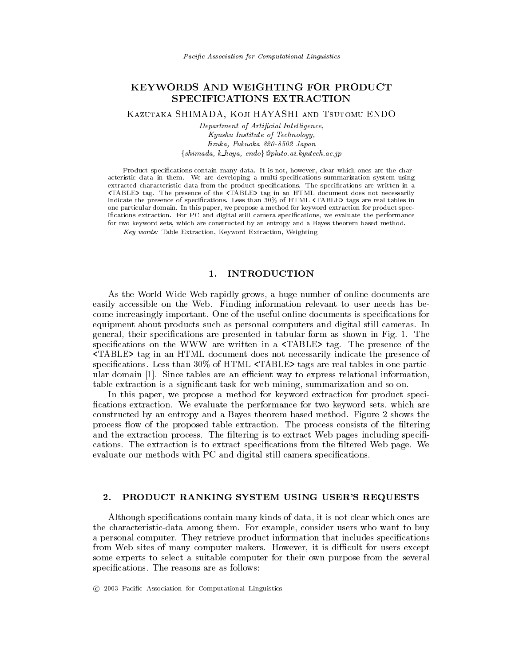# KEYWORDS AND WEIGHTING FOR PRODUCT SPECIFICATIONS EXTRACTION

KAZUTAKA SHIMADA, KOJI HAYASHI AND TSUTOMU ENDO

Department of Artificial Intelligence, Kyushu Institute of Technology, Iizuka, Fukuoka 820-8502 Japan  $\{shimada, k \_haya, endo\}$  @pluto.ai.kyutech.ac.jp

Product specifications contain many data. It is not, however, clear which ones are the characteristic data in them. We are developing a multi-specifications summarization system using extracted characteristic data from the product specifications. The specifications are written in a <TABLE> tag. The presence of the <TABLE> tag in an HTML document does not necessarily indicate the presence of specifications. Less than 30% of HTML <TABLE> tags are real tables in one particular domain. In this paper, we propose a method for keyword extraction for product specifications extraction. For PC and digital still camera specifications, we evaluate the performance for two keyword sets, which are constructed by an entropy and a Bayes theorem based method.

Key words: Table Extraction, Keyword Extraction, Weighting

#### **INTRODUCTION** 1.

As the World Wide Web rapidly grows, a huge number of online documents are easily accessible on the Web. Finding information relevant to user needs has become increasingly important. One of the useful online documents is specifications for equipment about products such as personal computers and digital still cameras. In general, their specifications are presented in tabular form as shown in Fig. 1. The specifications on the WWW are written in a <TABLE> tag. The presence of the <TABLE> tag in an HTML document does not necessarily indicate the presence of specifications. Less than 30% of HTML <TABLE> tags are real tables in one particular domain [1]. Since tables are an efficient way to express relational information, table extraction is a significant task for web mining, summarization and so on.

In this paper, we propose a method for keyword extraction for product specifications extraction. We evaluate the performance for two keyword sets, which are constructed by an entropy and a Bayes theorem based method. Figure 2 shows the process flow of the proposed table extraction. The process consists of the filtering and the extraction process. The filtering is to extract Web pages including specifications. The extraction is to extract specifications from the filtered Web page. We evaluate our methods with PC and digital still camera specifications.

### $2.$ PRODUCT RANKING SYSTEM USING USER'S REQUESTS

Although specifications contain many kinds of data, it is not clear which ones are the characteristic-data among them. For example, consider users who want to buy a personal computer. They retrieve product information that includes specifications from Web sites of many computer makers. However, it is difficult for users except some experts to select a suitable computer for their own purpose from the several specifications. The reasons are as follows: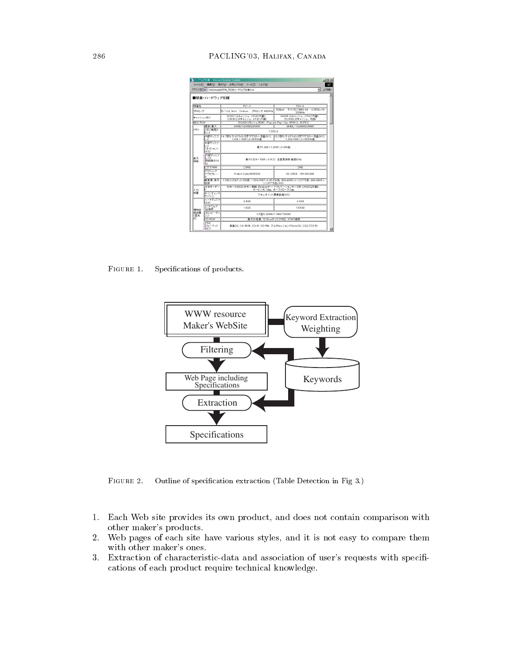|                             |                                   | 個ハードウェア仕様 - Microsoft Internet Explorer                                                     |                                                      | <b>Jolx</b> |  |  |  |
|-----------------------------|-----------------------------------|---------------------------------------------------------------------------------------------|------------------------------------------------------|-------------|--|--|--|
|                             |                                   | ファイル(F) 編集(E) 表示(V) お気に入り(A) ツール(T) ヘルプ(H)                                                  |                                                      | 492         |  |  |  |
|                             |                                   | アドレス(D) 21 D WshimadaWHTML RESW/\-ドウェア仕様htm                                                 |                                                      | ■ 2移動       |  |  |  |
|                             | ■型番・ハードウェア什様                      |                                                                                             |                                                      |             |  |  |  |
| 根棟名                         |                                   | $PCI-X$                                                                                     | $PC2-S$                                              |             |  |  |  |
| プロセッサ                       |                                   | ELSKIL-Intel Celeron HOtzutt 400MHz                                                         | 3DNow <sup>1</sup><br>テクノロジAMD-X6 -2ブロセッサ<br>333 MHz |             |  |  |  |
| キャッシュメモリ                    |                                   | 32KB(1)をキャッシュ、OPはこ内蔵)。<br>128KB(2)欠キャッシュ、OPUに内蔵)                                            | 64KB03全事をッシュ、OPUご内蔵)。<br>512KB2次半ャッシュ、外部)            |             |  |  |  |
| <b>ROOS ROM</b>             |                                   | 512KB(フラッシュROM), Plus and Play 1.8a, APM1.2, ACPI1.0                                        |                                                      |             |  |  |  |
|                             | 覆盖/桑木                             | 64MB/192MBSDRAM)                                                                            | 64MB/192MBCSDRAM)                                    |             |  |  |  |
| <b>x∓∪</b>                  | マチリ専用フ<br>l⊟vh                    | 17ロット                                                                                       |                                                      |             |  |  |  |
|                             | ĿК                                | 内部ディスプ   14.1型FLサイドライト付きTFTカラー液晶(※1)、  13.3型FLサイドライト付きTFTカラー液晶(※1)、<br>1.024×768ドット:65.536色 | 1.024x768ドット:65.536色                                 |             |  |  |  |
| 美元<br>根缺                    | 外部ディスプ<br>ЬK<br>(オザション)<br>(38.3) | 最大1.280×1.024ドット:256色                                                                       |                                                      |             |  |  |  |
|                             | 内部ディスプ<br>レイと<br>同時表示OK<br>k>     | 最大1,024×768Fット(※2)、患費周波酰 垂直60Hz                                                             |                                                      |             |  |  |  |
|                             | ビデオRAM                            | 25MR                                                                                        | 2MR                                                  |             |  |  |  |
|                             | グラフィック<br>アクセラレー                  | Trident Cyber9525DVD<br>S3 ViRGE /MX 86C260                                                 |                                                      |             |  |  |  |
|                             | 解後度:表示<br>色数                      | 1.280x1.024ドット:256色。1.024x768ドット:65.536色。800x608ドット:1.677万色。640x480ドッ<br>h:1.677万色(※2)      |                                                      |             |  |  |  |
| スカ                          | 本体キーボー                            | 90キーのADG106キー艦隊、Windowsキー・アプリケーションキー付き、7人がなの間)。<br>キーピッチ:19mm、キーストローク:3mm                   |                                                      |             |  |  |  |
| 装置                          | ポインティング<br>デバイス                   | アキュポイント標準装備(※5)                                                                             |                                                      |             |  |  |  |
| <b>補助記</b><br>情認度<br>K FBT字 | ハードディスク<br>(366)                  | 6.4GB                                                                                       | 4.3GB                                                |             |  |  |  |
|                             | クワトウェア<br>占有率                     | 1.6GB                                                                                       | 1.59GB                                               |             |  |  |  |
|                             | フロッピーディ<br>スク                     | 3.5型(1.44MB/1.2MB/720KB)                                                                    |                                                      |             |  |  |  |
| k.                          | CD-BOM                            | 最大24倍速、12/8cmディスク対応、ATAPI接続                                                                 |                                                      |             |  |  |  |
|                             | शिवडा<br>ワォーマット<br>(367)          |                                                                                             | 音楽GD、GD-ROM、GD-R、GD-RW、マルチセッション(PhotoGD、GDエクストラ)     |             |  |  |  |

FIGURE 1.  $\mathbf{r}$  and  $\mathbf{r}$  and  $\mathbf{r}$  and  $\mathbf{r}$ 



FIGURE 2.  $\mathbf{r}$  , and  $\mathbf{r}$  , and  $\mathbf{r}$  , and  $\mathbf{r}$  , and  $\mathbf{r}$  , and  $\mathbf{r}$ 

- # - -  -  - - -4 
 -
- /        -
- and the contract of the contract which the contract of the contract of the second contract of the contract of the contract of the contract of the contract of the contract of the contract of the contract of the contract of  $\blacksquare$  . The contract of the contract of the contract of the contract of the contract of the contract of the contract of the contract of the contract of the contract of the contract of the contract of the contract of the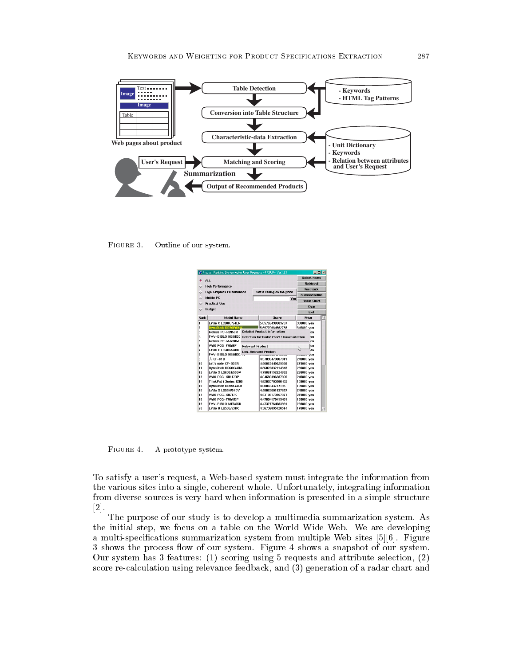

FIGURE 3. Outline of our system.

| EDX<br>X Product Ranking System using User Requests - PRSUR- Ver.1.3.1 |                                                                      |                     |                               |  |                       |  |
|------------------------------------------------------------------------|----------------------------------------------------------------------|---------------------|-------------------------------|--|-----------------------|--|
|                                                                        | ALL.                                                                 | <b>Select Items</b> |                               |  |                       |  |
|                                                                        |                                                                      | Retrieval           |                               |  |                       |  |
|                                                                        | <b>High Performance</b>                                              | Feedback            |                               |  |                       |  |
|                                                                        | <b>High Graphics Performance</b>                                     |                     | Set a ceiling on the price    |  | Summarization         |  |
|                                                                        | <b>Mobile PC</b><br>Yen                                              |                     |                               |  |                       |  |
|                                                                        | <b>Practical Use</b>                                                 |                     |                               |  | Radar Chart.<br>Clear |  |
| $\checkmark$                                                           | <b>Budget</b>                                                        |                     |                               |  |                       |  |
|                                                                        |                                                                      |                     |                               |  | Exit                  |  |
| Rank                                                                   | <b>Model Name</b>                                                    |                     | Score                         |  | Price                 |  |
| h                                                                      | LaVie C LC800J/54ER                                                  |                     | 5.65762498503737              |  | 330000 yen            |  |
| 2                                                                      | <b>DynaBook DB70P/5MC</b>                                            |                     | 5 59770084552738              |  | 349800 ven            |  |
| з                                                                      | <b>Detailed Product Information</b><br>Mebius PC-RJ950R<br>en        |                     |                               |  |                       |  |
| 4                                                                      | FMV-BIBLO NE5/60E<br>Selection for Radar Chart / Summarization<br>en |                     |                               |  |                       |  |
| 5                                                                      | Mebius PC-MJ700M<br>en                                               |                     |                               |  |                       |  |
| ĥ                                                                      | VAIO PCG-F76/BP<br><b>Relevant Product</b>                           |                     |                               |  | en                    |  |
| 7                                                                      | LaVie C LOSBH/54DR<br><b>Non-Relevant Product</b>                    |                     |                               |  | じ<br>en               |  |
| R                                                                      | FMV-BIBLO NE5/800                                                    |                     | <b>CONTRACTOR OF BUILDING</b> |  | wwwww <sub>y</sub> en |  |
| ġ                                                                      | 人 CF-XID                                                             |                     | 4.97090473807811              |  | 249800 yen            |  |
| 10                                                                     | Let's note CF-B5ER                                                   |                     | 4.86825449029368              |  | 279800 yen            |  |
| 11                                                                     | DynaBook DB60C/4RA                                                   |                     | 4.86022832114343              |  | 239800 yen            |  |
| 12                                                                     | LaVie S LS600J/55DV                                                  |                     | 4.79861152624852              |  | 299800 yen            |  |
| 13                                                                     | VAIO PCG-XR1F/BP                                                     |                     | 4.64586396287969              |  | 249800 ven            |  |
| 14                                                                     | ThinkPad i Series 1200                                               |                     | 4.62003783260485              |  | 189800 ven            |  |
| 15                                                                     | DynaBook DB55C/4CA                                                   |                     | 4.6006943757195               |  | 199800 yen            |  |
| 16                                                                     | LaVie S LS55H/54DV                                                   |                     | 4.58063601837857              |  | 249800 yen            |  |
| 17                                                                     | VAIO PCG-XR7E/K                                                      |                     | 4.53106173957371              |  | 279800 yen            |  |
| 18                                                                     | VAIO PCG-F70A/BP                                                     |                     | 4.47804170419491              |  | 199800 yen            |  |
| 19                                                                     | FMV-BIBLO MF5/55D                                                    |                     | 4.47327764683991              |  | 239800 yen            |  |
| 20                                                                     | LaVie U LU50L/53DC                                                   |                     | 4.36736095128514              |  | 178000 yen            |  |

FIGURE 4. A prototype system.

To satisfy a user's request, a Web-based system must integrate the information from the various sites into a single, coherent whole. Unfortunately, integrating information from diverse sources is very hard when information is presented in a simple structure  $[2].$ 

The purpose of our study is to develop a multimedia summarization system. As the initial step, we focus on a table on the World Wide Web. We are developing a multi-specifications summarization system from multiple Web sites [5][6]. Figure 3 shows the process flow of our system. Figure 4 shows a snapshot of our system. Our system has 3 features: (1) scoring using 5 requests and attribute selection, (2) score re-calculation using relevance feedback, and (3) generation of a radar chart and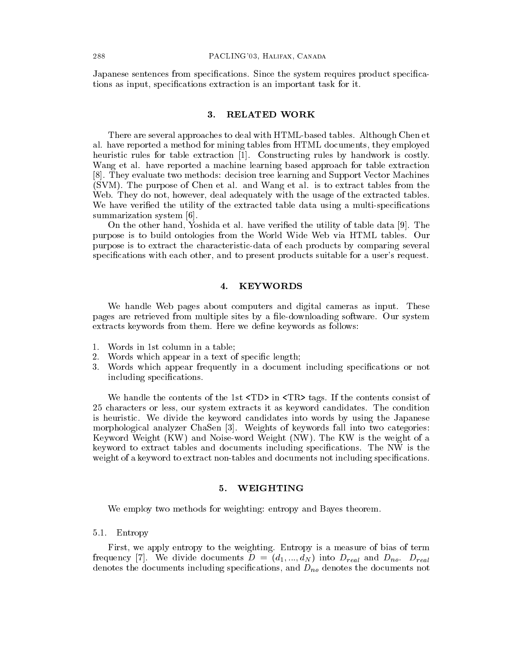Japanese sentences from specifications. Since the system requires product specifications as input, specifications extraction is an important task for it.

#### 3. **RELATED WORK**

There are several approaches to deal with HTML-based tables. Although Chen et al. have reported a method for mining tables from HTML documents, they employed heuristic rules for table extraction [1]. Constructing rules by handwork is costly. Wang et al. have reported a machine learning based approach for table extraction [8]. They evaluate two methods: decision tree learning and Support Vector Machines (SVM). The purpose of Chen et al. and Wang et al. is to extract tables from the Web. They do not, however, deal adequately with the usage of the extracted tables. We have verified the utility of the extracted table data using a multi-specifications summarization system [6].

On the other hand, Yoshida et al. have verified the utility of table data [9]. The purpose is to build ontologies from the World Wide Web via HTML tables. Our purpose is to extract the characteristic-data of each products by comparing several specifications with each other, and to present products suitable for a user's request.

### $\overline{4}$ . **KEYWORDS**

We handle Web pages about computers and digital cameras as input. These pages are retrieved from multiple sites by a file-downloading software. Our system extracts keywords from them. Here we define keywords as follows:

- 1. Words in 1st column in a table;
- Words which appear in a text of specific length; 2.
- 3. Words which appear frequently in a document including specifications or not including specifications.

We handle the contents of the 1st <TD> in <TR> tags. If the contents consist of 25 characters or less, our system extracts it as keyword candidates. The condition is heuristic. We divide the keyword candidates into words by using the Japanese morphological analyzer ChaSen [3]. Weights of keywords fall into two categories: Keyword Weight (KW) and Noise-word Weight (NW). The KW is the weight of a keyword to extract tables and documents including specifications. The NW is the weight of a keyword to extract non-tables and documents not including specifications.

#### 5. WEIGHTING

We employ two methods for weighting: entropy and Bayes theorem.

## 5.1. Entropy

First, we apply entropy to the weighting. Entropy is a measure of bias of term frequency [7]. We divide documents  $D = (d_1, ..., d_N)$  into  $D_{real}$  and  $D_{no}$ .  $D_{real}$ denotes the documents including specifications, and  $D_{no}$  denotes the documents not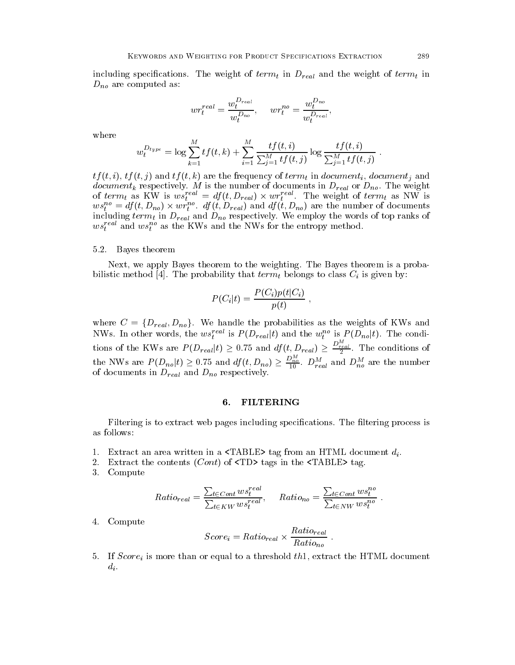including specifications. The weight of  $term_t$  in  $D_{real}$  and the weight of  $term_t$  in  $D_{no}$  are computed as:

$$
wr_t^{real} = \frac{w_t^{D_{real}}}{w_t^{D_{no}}}, \quad wr_t^{no} = \frac{w_t^{D_{no}}}{w_t^{D_{real}}}
$$

where

$$
w_t^{D_{type}} = \log \sum_{k=1}^{M} tf(t, k) + \sum_{i=1}^{M} \frac{tf(t, i)}{\sum_{j=1}^{M} tf(t, j)} \log \frac{tf(t, i)}{\sum_{j=1}^{M} tf(t, j)}
$$

 $tf(t, i), tf(t, j)$  and  $tf(t, k)$  are the frequency of  $term_t$  in document<sub>i</sub>, document<sub>i</sub> and document<sub>k</sub> respectively. M is the number of documents in  $D_{real}$  or  $D_{no}$ . The weight<br>of  $term_t$  as KW is  $ws_t^{real} = df(t, D_{real}) \times wr_t^{real}$ . The weight of  $term_t$  as NW is<br> $ws_t^{no} = df(t, D_{no}) \times wr_t^{no}$ .  $df(t, D_{real})$  and  $df(t, D_{no})$  are the number of including  $term_t$  in  $D_{real}$  and  $D_{no}$  respectively. We employ the words of top ranks of  $ws_t^{real}$  and  $ws_t^{no}$  as the KWs and the NWs for the entropy method.

## 5.2. Bayes theorem

Next, we apply Bayes theorem to the weighting. The Bayes theorem is a probabilistic method [4]. The probability that  $term<sub>t</sub>$  belongs to class  $C<sub>i</sub>$  is given by:

$$
P(C_i|t) = \frac{P(C_i)p(t|C_i)}{p(t)}
$$

where  $C = \{D_{real}, D_{no}\}.$  We handle the probabilities as the weights of KWs and NWs. In other words, the  $ws_t^{real}$  is  $P(D_{real}|t)$  and the  $w_t^{no}$  is  $P(D_{no}|t)$ . The conditions of the KWs are  $P(D_{real}|t) \ge 0.75$  and  $df(t, D_{real}) \ge \frac{D_{real}^M}{2}$ . The conditions of the NWs are  $P(D_{no}|t) \ge 0.75$  and  $df(t, D_{no}) \ge \frac{D_{no}^M}{10}$ .  $D_{real}^M$  and  $D_{no}^M$  are the number of documents in  $D_{real}$  and  $D_{no}$  respectively.

#### 6. **FILTERING**

Filtering is to extract web pages including specifications. The filtering process is as follows:

- 1. Extract an area written in a  $\langle \text{TABLE} \rangle$  tag from an HTML document  $d_i$ .
- 2. Extract the contents  $(Cont)$  of  $\langle TD \rangle$  tags in the  $\langle TABLE \rangle$  tag.
- 3. Compute

$$
Ratio_{real} = \frac{\sum_{t \in Cont} w s_t^{real}}{\sum_{t \in KW} w s_t^{real}}, \quad Ratio_{no} = \frac{\sum_{t \in Cont} w s_t^{no}}{\sum_{t \in NW} w s_t^{no}}.
$$

4. Compute

$$
Score_i = Ratio_{real} \times \frac{Ratio_{real}}{Ratio_{no}}
$$

5. If  $Score_i$  is more than or equal to a threshold the stract the HTML document  $d_i$ .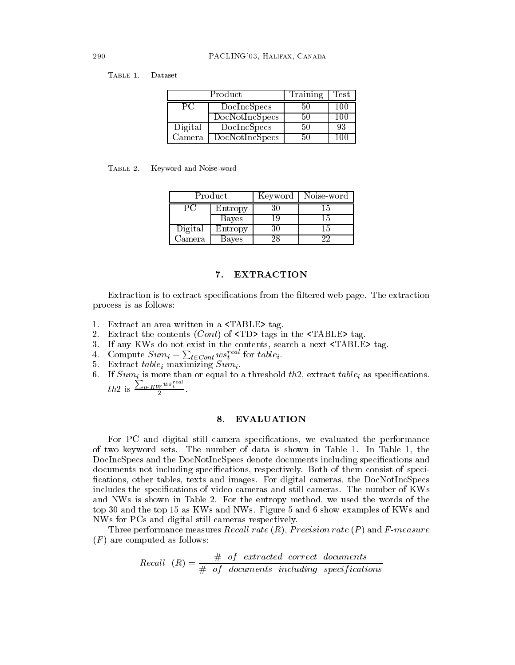TABLE 1. Dataset

|         | Product        | Training | Test          |
|---------|----------------|----------|---------------|
| PC.     | DocIncSpecs    | 50       | 100           |
|         | DocNotIncSpecs | 50       | 100           |
| Digital | DocIncSpecs    | 50       | 93            |
| Camera  | DocNotIncSpecs | 50       | $100^{\circ}$ |

| TABLE 2. | Keyword and Noise-word |  |  |  |
|----------|------------------------|--|--|--|
|----------|------------------------|--|--|--|

| Product |         | Keyword    | Noise-word |
|---------|---------|------------|------------|
|         | Entropy | 30         | 15         |
|         | Bayes   | <u>i y</u> | 15         |
| Digital | Entropy | 30         | 15         |
| Camera  | Bayes   |            |            |

#### 7. **EXTRACTION**

Extraction is to extract specifications from the filtered web page. The extraction process is as follows:

- 1. Extract an area written in a <TABLE> tag.
- 2. Extract the contents  $(Cont)$  of  $\langle TD \rangle$  tags in the  $\langle TABLE \rangle$  tag.
- 3. If any KWs do not exist in the contents, search a next <TABLE> tag.
- 4. Compute  $Sum_i = \sum_{t \in Cont} user^{real}$  for table<sub>i</sub>.
- 5. Extract  $table_i$  maximizing  $Sum_i$ .
- 6. If  $Sum_{i}$  is more than or equal to a threshold th2, extract table, as specifications. th2 is  $\frac{\sum_{t \in KW} w s_t^{real}}{2}$ .

#### 8. **EVALUATION**

For PC and digital still camera specifications, we evaluated the performance of two keyword sets. The number of data is shown in Table 1. In Table 1, the DocIncSpecs and the DocNotIncSpecs denote documents including specifications and documents not including specifications, respectively. Both of them consist of specifications, other tables, texts and images. For digital cameras, the DocNotIncSpecs includes the specifications of video cameras and still cameras. The number of KWs and NWs is shown in Table 2. For the entropy method, we used the words of the top 30 and the top 15 as KWs and NWs. Figure 5 and 6 show examples of KWs and NWs for PCs and digital still cameras respectively.

Three performance measures *Recall rate*  $(R)$ , *Precision rate*  $(P)$  and *F-measure*  $(F)$  are computed as follows:

 $Recall (R) = \frac{\# of \ extracted \ correct \ documents}{\# of \ documents \ including \ specifications}$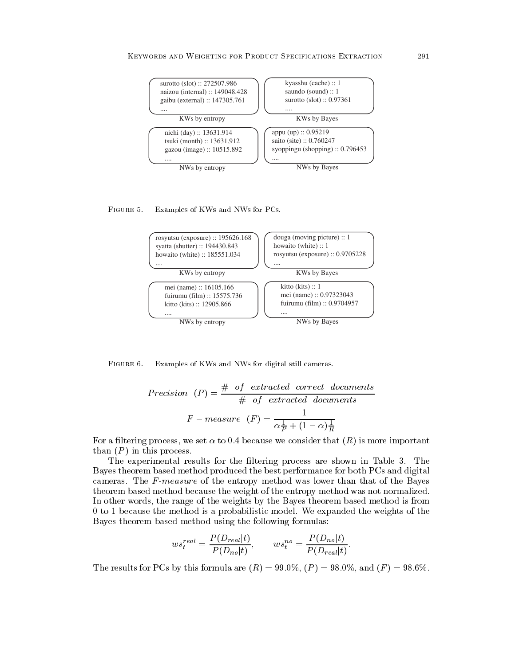

#### FIGURE 5. "-



FIGURE 6.  $\mathcal{L}$  =  $\mathcal{L}$  =  $\mathcal{L}$  =  $\mathcal{L}$  =  $\mathcal{L}$  =  $\mathcal{L}$  =  $\mathcal{L}$  =  $\mathcal{L}$  =  $\mathcal{L}$  =  $\mathcal{L}$  =  $\mathcal{L}$  =  $\mathcal{L}$  =  $\mathcal{L}$  =  $\mathcal{L}$  =  $\mathcal{L}$  =  $\mathcal{L}$  =  $\mathcal{L}$  =  $\mathcal{L}$  =  $\mathcal{L}$  =  $\mathcal{L}$  =

$$
Precision (P) = \frac{\# \ of \ extracted \ correct \ documents}{\# \ of \ extracted \ documents}
$$
\n
$$
F - measure (F) = \frac{1}{\alpha \frac{1}{P} + (1 - \alpha) \frac{1}{R}}
$$

For a filtering process, we set  $\alpha$  to 0.4 because we consider that  $(R)$  is more important  $\blacksquare$  . The state of the state of the state of the state of the state of the state of the state of the state of the state of the state of the state of the state of the state of the state of the state of the state of the

, which is a set of the set of the set of the set of the set of the set of the set of the set of the set of the set of the set of the set of the set of the set of the set of the set of the set of the set of the set of the  $\blacksquare$  . The contract of the contract of the contract of the contract of the contract of the contract of the contract of the contract of the contract of the contract of the contract of the contract of the contract of the  - - -  - -- - ! -  -  - - - - -  -  . - -  - - - ! -  - 0 to 1 because the method is a probabilistic model. We expanded the weights of the  $\mathbf{A}$  . The set of  $\mathbf{A}$  is a set of  $\mathbf{A}$  is a set of  $\mathbf{A}$  is a set of  $\mathbf{A}$  is a set of  $\mathbf{A}$ 

$$
ws_t^{real} = \frac{P(D_{real}|t)}{P(D_{no}|t)}, \qquad ws_t^{no} = \frac{P(D_{no}|t)}{P(D_{real}|t)}.
$$

 $P(D_{no}|t)$   ${}^{'}$   $P(D_{real}|t)$ <br>The results for PCs by this formula are  $(R) = 99.0\%,\, (P) = 98.0\%,\, \mathrm{and}\, \,(F) = 98.6\%.$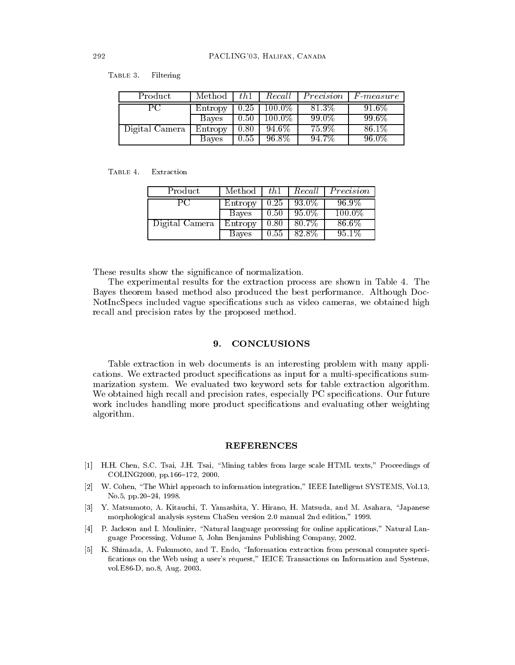TABLE 3. Filtering

| Product        | Method  | th1  | Recall    | Precision | $F$ -measure |
|----------------|---------|------|-----------|-----------|--------------|
| PC.            | Entropy | 0.25 | $100.0\%$ | 81.3\%    | 91.6%        |
|                | Bayes   | 0.50 | $100.0\%$ | 99.0%     | $99.6\%$     |
| Digital Camera | Entropy | 0.80 | 94.6%     | $75.9\%$  | 86.1%        |
|                | Bayes   | 0.55 | 96.8%     | 94.7%     | 96.0%        |

#### TABLE 4. Extraction

| Product        | Method  | th1  | Recall   | Precision |
|----------------|---------|------|----------|-----------|
| PС             | Entropy | 0.25 | $93.0\%$ | $96.9\%$  |
|                | Bayes   | 0.50 | 95.0%    | $100.0\%$ |
| Digital Camera | Entropy | 0.80 | 80.7%    | $86.6\%$  |
|                | Bayes   | 0.55 | 82.8%    | $95.1\%$  |

These results show the significance of normalization.

The experimental results for the extraction process are shown in Table 4. The Bayes theorem based method also produced the best performance. Although Doc-NotIncSpecs included vague specifications such as video cameras, we obtained high recall and precision rates by the proposed method.

#### 9. **CONCLUSIONS**

Table extraction in web documents is an interesting problem with many applications. We extracted product specifications as input for a multi-specifications summarization system. We evaluated two keyword sets for table extraction algorithm. We obtained high recall and precision rates, especially PC specifications. Our future work includes handling more product specifications and evaluating other weighting algorithm.

# **REFERENCES**

- [1] H.H. Chen, S.C. Tsai, J.H. Tsai, "Mining tables from large scale HTML texts," Proceedings of COLING2000, pp.166-172, 2000.
- W. Cohen, "The Whirl approach to information integration," IEEE Intelligent SYSTEMS, Vol.13,  $|2|$ No.5, pp.20-24, 1998.
- [3] Y. Matsumoto, A. Kitauchi, T. Yamashita, Y. Hirano, H. Matsuda, and M. Asahara, "Japanese morphological analysis system ChaSen version 2.0 manual 2nd edition," 1999.
- P. Jackson and I. Moulinier, "Natural language processing for online applications," Natural Lan- $\vert 4 \vert$ guage Processing, Volume 5, John Benjamins Publishing Company, 2002.
- [5] K. Shimada, A. Fukumoto, and T. Endo, "Information extraction from personal computer specifications on the Web using a user's request," IEICE Transactions on Information and Systems, vol.E86-D, no.8, Aug. 2003.